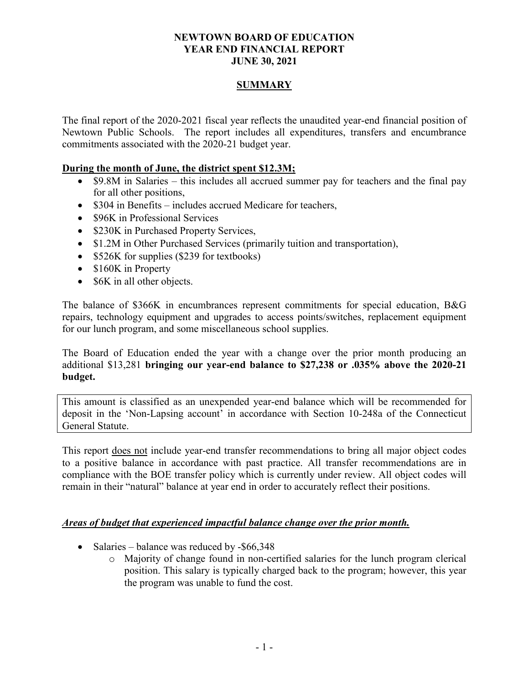### **NEWTOWN BOARD OF EDUCATION YEAR END FINANCIAL REPORT JUNE 30, 2021**

### **SUMMARY**

The final report of the 2020-2021 fiscal year reflects the unaudited year-end financial position of Newtown Public Schools. The report includes all expenditures, transfers and encumbrance commitments associated with the 2020-21 budget year.

#### **During the month of June, the district spent \$12.3M;**

- \$9.8M in Salaries this includes all accrued summer pay for teachers and the final pay for all other positions,
- \$304 in Benefits includes accrued Medicare for teachers,
- \$96K in Professional Services
- \$230K in Purchased Property Services,
- \$1.2M in Other Purchased Services (primarily tuition and transportation),
- \$526K for supplies (\$239 for textbooks)
- \$160K in Property
- \$6K in all other objects.

The balance of \$366K in encumbrances represent commitments for special education, B&G repairs, technology equipment and upgrades to access points/switches, replacement equipment for our lunch program, and some miscellaneous school supplies.

The Board of Education ended the year with a change over the prior month producing an additional \$13,281 **bringing our year-end balance to \$27,238 or .035% above the 2020-21 budget.** 

This amount is classified as an unexpended year-end balance which will be recommended for deposit in the 'Non-Lapsing account' in accordance with Section 10-248a of the Connecticut General Statute.

This report does not include year-end transfer recommendations to bring all major object codes to a positive balance in accordance with past practice. All transfer recommendations are in compliance with the BOE transfer policy which is currently under review. All object codes will remain in their "natural" balance at year end in order to accurately reflect their positions.

### *Areas of budget that experienced impactful balance change over the prior month.*

- Salaries balance was reduced by -\$66,348
	- o Majority of change found in non-certified salaries for the lunch program clerical position. This salary is typically charged back to the program; however, this year the program was unable to fund the cost.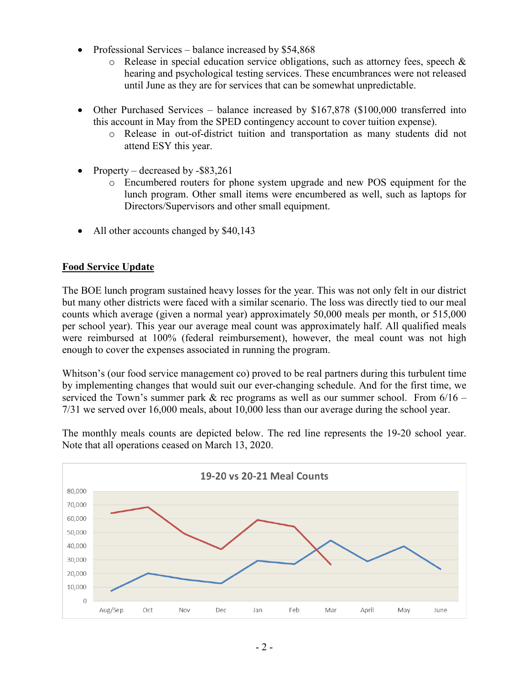- Professional Services balance increased by \$54,868
	- $\circ$  Release in special education service obligations, such as attorney fees, speech & hearing and psychological testing services. These encumbrances were not released until June as they are for services that can be somewhat unpredictable.
- Other Purchased Services balance increased by \$167,878 (\$100,000 transferred into this account in May from the SPED contingency account to cover tuition expense).
	- o Release in out-of-district tuition and transportation as many students did not attend ESY this year.
- Property decreased by -\$83,261
	- o Encumbered routers for phone system upgrade and new POS equipment for the lunch program. Other small items were encumbered as well, such as laptops for Directors/Supervisors and other small equipment.
- All other accounts changed by \$40,143

## **Food Service Update**

The BOE lunch program sustained heavy losses for the year. This was not only felt in our district but many other districts were faced with a similar scenario. The loss was directly tied to our meal counts which average (given a normal year) approximately 50,000 meals per month, or 515,000 per school year). This year our average meal count was approximately half. All qualified meals were reimbursed at 100% (federal reimbursement), however, the meal count was not high enough to cover the expenses associated in running the program.

Whitson's (our food service management co) proved to be real partners during this turbulent time by implementing changes that would suit our ever-changing schedule. And for the first time, we serviced the Town's summer park  $\&$  rec programs as well as our summer school. From  $6/16$  – 7/31 we served over 16,000 meals, about 10,000 less than our average during the school year.

The monthly meals counts are depicted below. The red line represents the 19-20 school year. Note that all operations ceased on March 13, 2020.

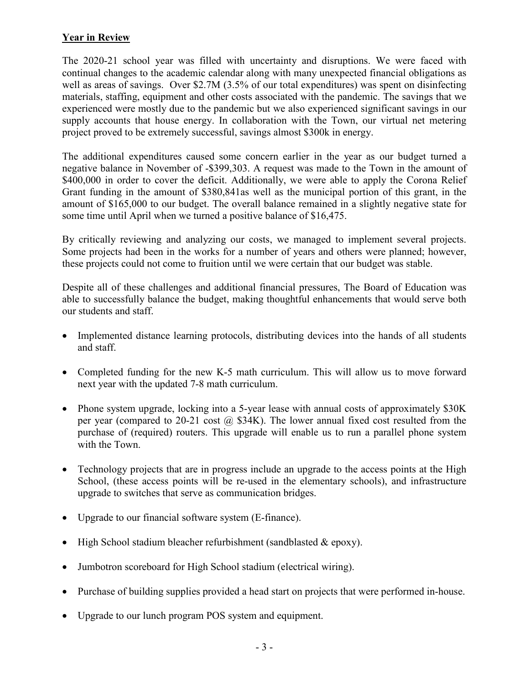## **Year in Review**

The 2020-21 school year was filled with uncertainty and disruptions. We were faced with continual changes to the academic calendar along with many unexpected financial obligations as well as areas of savings. Over \$2.7M (3.5% of our total expenditures) was spent on disinfecting materials, staffing, equipment and other costs associated with the pandemic. The savings that we experienced were mostly due to the pandemic but we also experienced significant savings in our supply accounts that house energy. In collaboration with the Town, our virtual net metering project proved to be extremely successful, savings almost \$300k in energy.

The additional expenditures caused some concern earlier in the year as our budget turned a negative balance in November of -\$399,303. A request was made to the Town in the amount of \$400,000 in order to cover the deficit. Additionally, we were able to apply the Corona Relief Grant funding in the amount of \$380,841as well as the municipal portion of this grant, in the amount of \$165,000 to our budget. The overall balance remained in a slightly negative state for some time until April when we turned a positive balance of \$16,475.

By critically reviewing and analyzing our costs, we managed to implement several projects. Some projects had been in the works for a number of years and others were planned; however, these projects could not come to fruition until we were certain that our budget was stable.

Despite all of these challenges and additional financial pressures, The Board of Education was able to successfully balance the budget, making thoughtful enhancements that would serve both our students and staff.

- Implemented distance learning protocols, distributing devices into the hands of all students and staff.
- Completed funding for the new K-5 math curriculum. This will allow us to move forward next year with the updated 7-8 math curriculum.
- Phone system upgrade, locking into a 5-year lease with annual costs of approximately \$30K per year (compared to 20-21 cost  $\omega$  \$34K). The lower annual fixed cost resulted from the purchase of (required) routers. This upgrade will enable us to run a parallel phone system with the Town.
- Technology projects that are in progress include an upgrade to the access points at the High School, (these access points will be re-used in the elementary schools), and infrastructure upgrade to switches that serve as communication bridges.
- Upgrade to our financial software system (E-finance).
- High School stadium bleacher refurbishment (sandblasted & epoxy).
- Jumbotron scoreboard for High School stadium (electrical wiring).
- Purchase of building supplies provided a head start on projects that were performed in-house.
- Upgrade to our lunch program POS system and equipment.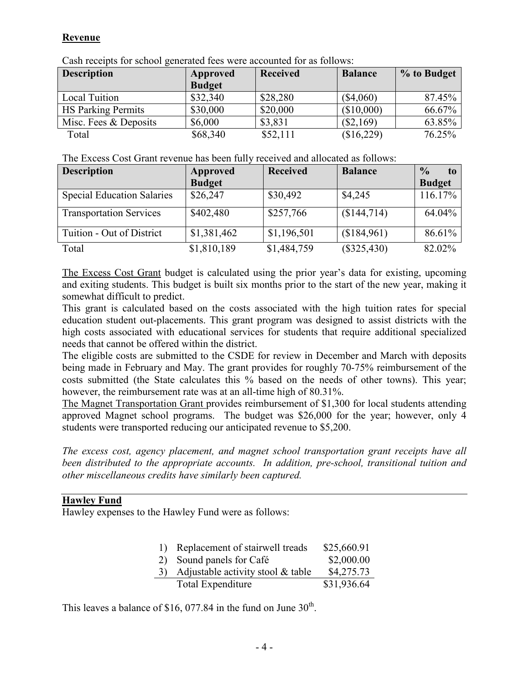## **Revenue**

| <u>swarres and the series of Married and the series will be reduced the series of the series of the series of the series of the series of the series of the series of the series of the series of the series of the series of th</u> |                           |                 |                |             |
|--------------------------------------------------------------------------------------------------------------------------------------------------------------------------------------------------------------------------------------|---------------------------|-----------------|----------------|-------------|
| <b>Description</b>                                                                                                                                                                                                                   | Approved<br><b>Budget</b> | <b>Received</b> | <b>Balance</b> | % to Budget |
| <b>Local Tuition</b>                                                                                                                                                                                                                 | \$32,340                  | \$28,280        | $(\$4,060)$    | 87.45%      |
| <b>HS Parking Permits</b>                                                                                                                                                                                                            | \$30,000                  | \$20,000        | (\$10,000)     | 66.67%      |
| Misc. Fees & Deposits                                                                                                                                                                                                                | \$6,000                   | \$3,831         | $(\$2,169)$    | 63.85%      |
| Total                                                                                                                                                                                                                                | \$68,340                  | \$52,111        | (\$16,229)     | 76.25%      |

Cash receipts for school generated fees were accounted for as follows:

| <b>Description</b>                | Approved      | <b>Received</b> | <b>Balance</b> | $\frac{0}{0}$<br>to |
|-----------------------------------|---------------|-----------------|----------------|---------------------|
|                                   | <b>Budget</b> |                 |                | <b>Budget</b>       |
| <b>Special Education Salaries</b> | \$26,247      | \$30,492        | \$4,245        | 116.17%             |
| <b>Transportation Services</b>    | \$402,480     | \$257,766       | (\$144,714)    | 64.04%              |
| Tuition - Out of District         | \$1,381,462   | \$1,196,501     | (\$184,961)    | 86.61%              |
| Total                             | \$1,810,189   | \$1,484,759     | $(\$325,430)$  | 82.02%              |

The Excess Cost Grant budget is calculated using the prior year's data for existing, upcoming and exiting students. This budget is built six months prior to the start of the new year, making it somewhat difficult to predict.

This grant is calculated based on the costs associated with the high tuition rates for special education student out-placements. This grant program was designed to assist districts with the high costs associated with educational services for students that require additional specialized needs that cannot be offered within the district.

The eligible costs are submitted to the CSDE for review in December and March with deposits being made in February and May. The grant provides for roughly 70-75% reimbursement of the costs submitted (the State calculates this % based on the needs of other towns). This year; however, the reimbursement rate was at an all-time high of 80.31%.

The Magnet Transportation Grant provides reimbursement of \$1,300 for local students attending approved Magnet school programs. The budget was \$26,000 for the year; however, only 4 students were transported reducing our anticipated revenue to \$5,200.

*The excess cost, agency placement, and magnet school transportation grant receipts have all been distributed to the appropriate accounts. In addition, pre-school, transitional tuition and other miscellaneous credits have similarly been captured.*

## **Hawley Fund**

Hawley expenses to the Hawley Fund were as follows:

| $\mathbf{D}$ | Replacement of stairwell treads   | \$25,660.91 |
|--------------|-----------------------------------|-------------|
|              | 2) Sound panels for Café          | \$2,000.00  |
|              | Adjustable activity stool & table | \$4,275.73  |
|              | Total Expenditure                 | \$31,936.64 |

This leaves a balance of \$16, 077.84 in the fund on June  $30<sup>th</sup>$ .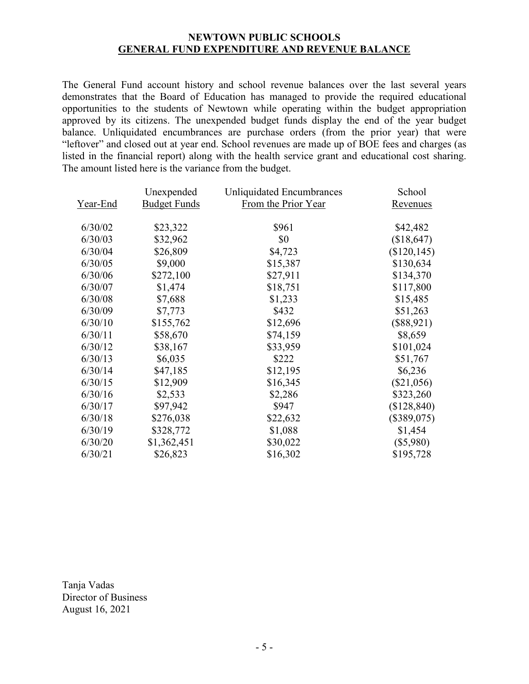### **NEWTOWN PUBLIC SCHOOLS GENERAL FUND EXPENDITURE AND REVENUE BALANCE**

The General Fund account history and school revenue balances over the last several years demonstrates that the Board of Education has managed to provide the required educational opportunities to the students of Newtown while operating within the budget appropriation approved by its citizens. The unexpended budget funds display the end of the year budget balance. Unliquidated encumbrances are purchase orders (from the prior year) that were "leftover" and closed out at year end. School revenues are made up of BOE fees and charges (as listed in the financial report) along with the health service grant and educational cost sharing. The amount listed here is the variance from the budget.

|                 | Unexpended          | Unliquidated Encumbrances | School          |
|-----------------|---------------------|---------------------------|-----------------|
| <u>Year-End</u> | <b>Budget Funds</b> | From the Prior Year       | <u>Revenues</u> |
| 6/30/02         | \$23,322            | \$961                     | \$42,482        |
| 6/30/03         | \$32,962            | \$0                       | (\$18,647)      |
| 6/30/04         | \$26,809            | \$4,723                   | (\$120,145)     |
| 6/30/05         | \$9,000             | \$15,387                  | \$130,634       |
| 6/30/06         | \$272,100           | \$27,911                  | \$134,370       |
| 6/30/07         | \$1,474             | \$18,751                  | \$117,800       |
| 6/30/08         | \$7,688             | \$1,233                   | \$15,485        |
| 6/30/09         | \$7,773             | \$432                     | \$51,263        |
| 6/30/10         | \$155,762           | \$12,696                  | $(\$88,921)$    |
| 6/30/11         | \$58,670            | \$74,159                  | \$8,659         |
| 6/30/12         | \$38,167            | \$33,959                  | \$101,024       |
| 6/30/13         | \$6,035             | \$222                     | \$51,767        |
| 6/30/14         | \$47,185            | \$12,195                  | \$6,236         |
| 6/30/15         | \$12,909            | \$16,345                  | $(\$21,056)$    |
| 6/30/16         | \$2,533             | \$2,286                   | \$323,260       |
| 6/30/17         | \$97,942            | \$947                     | (\$128,840)     |
| 6/30/18         | \$276,038           | \$22,632                  | (\$389,075)     |
| 6/30/19         | \$328,772           | \$1,088                   | \$1,454         |
| 6/30/20         | \$1,362,451         | \$30,022                  | $(\$5,980)$     |
| 6/30/21         | \$26,823            | \$16,302                  | \$195,728       |
|                 |                     |                           |                 |

Tanja Vadas Director of Business August 16, 2021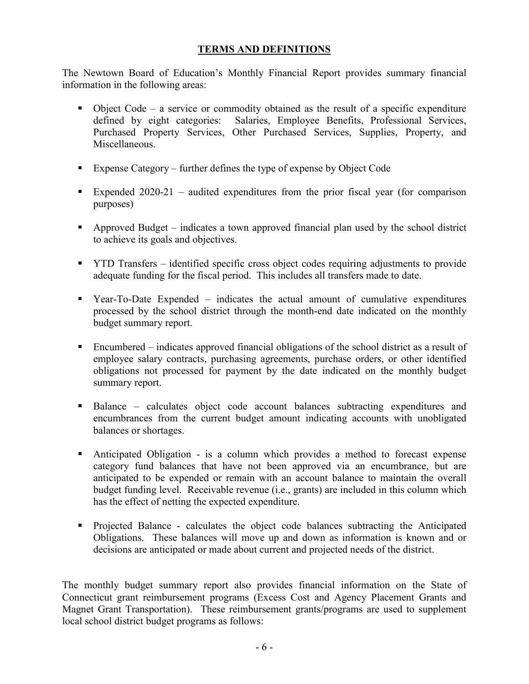## **TERMS AND DEFINITIONS**

The Newtown Board of Education's Monthly Financial Report provides summary financial information in the following areas:

- Object Code a service or commodity obtained as the result of a specific expenditure defined by eight categories: Salaries, Employee Benefits, Professional Services, Purchased Property Services, Other Purchased Services, Supplies, Property, and Miscellaneous.
- Expense Category further defines the type of expense by Object Code
- Expended  $2020-21$  audited expenditures from the prior fiscal year (for comparison purposes)
- Approved Budget indicates a town approved financial plan used by the school district to achieve its goals and objectives.
- YTD Transfers identified specific cross object codes requiring adjustments to provide adequate funding for the fiscal period. This includes all transfers made to date.
- Year-To-Date Expended indicates the actual amount of cumulative expenditures processed by the school district through the month-end date indicated on the monthly budget summary report.
- Encumbered indicates approved financial obligations of the school district as a result of employee salary contracts, purchasing agreements, purchase orders, or other identified obligations not processed for payment by the date indicated on the monthly budget summary report.
- Balance calculates object code account balances subtracting expenditures and encumbrances from the current budget amount indicating accounts with unobligated balances or shortages.
- Anticipated Obligation is a column which provides a method to forecast expense category fund balances that have not been approved via an encumbrance, but are anticipated to be expended or remain with an account balance to maintain the overall budget funding level. Receivable revenue (i.e., grants) are included in this column which has the effect of netting the expected expenditure.
- Projected Balance calculates the object code balances subtracting the Anticipated Obligations. These balances will move up and down as information is known and or decisions are anticipated or made about current and projected needs of the district.

The monthly budget summary report also provides financial information on the State of Connecticut grant reimbursement programs (Excess Cost and Agency Placement Grants and Magnet Grant Transportation). These reimbursement grants/programs are used to supplement local school district budget programs as follows: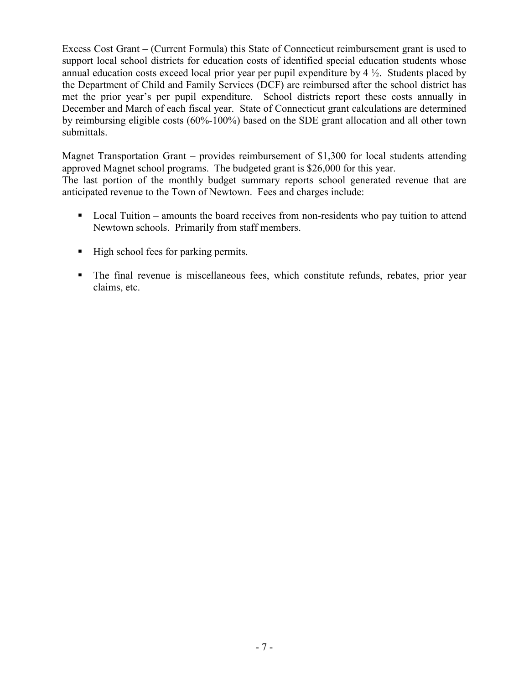Excess Cost Grant – (Current Formula) this State of Connecticut reimbursement grant is used to support local school districts for education costs of identified special education students whose annual education costs exceed local prior year per pupil expenditure by  $4\frac{1}{2}$ . Students placed by the Department of Child and Family Services (DCF) are reimbursed after the school district has met the prior year's per pupil expenditure. School districts report these costs annually in December and March of each fiscal year. State of Connecticut grant calculations are determined by reimbursing eligible costs (60%-100%) based on the SDE grant allocation and all other town submittals.

Magnet Transportation Grant – provides reimbursement of \$1,300 for local students attending approved Magnet school programs. The budgeted grant is \$26,000 for this year. The last portion of the monthly budget summary reports school generated revenue that are anticipated revenue to the Town of Newtown. Fees and charges include:

- Local Tuition amounts the board receives from non-residents who pay tuition to attend Newtown schools. Primarily from staff members.
- High school fees for parking permits.
- The final revenue is miscellaneous fees, which constitute refunds, rebates, prior year claims, etc.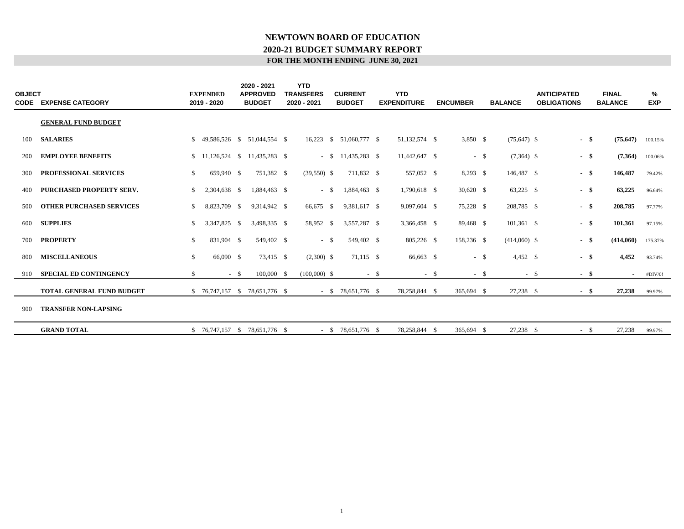#### **FOR THE MONTH ENDING JUNE 30, 2021 2020-21 BUDGET SUMMARY REPORT NEWTOWN BOARD OF EDUCATION**

| <b>OBJECT</b><br><b>CODE</b> | <b>EXPENSE CATEGORY</b>          |    | <b>EXPENDED</b><br>2019 - 2020 | 2020 - 2021<br><b>APPROVED</b><br><b>BUDGET</b> | <b>YTD</b><br><b>TRANSFERS</b><br>2020 - 2021 | <b>CURRENT</b><br><b>BUDGET</b> |        | <b>YTD</b><br><b>EXPENDITURE</b> |        | <b>ENCUMBER</b> |        | <b>BALANCE</b> |        | <b>ANTICIPATED</b><br><b>OBLIGATIONS</b> | <b>FINAL</b><br><b>BALANCE</b> | %<br><b>EXP</b> |
|------------------------------|----------------------------------|----|--------------------------------|-------------------------------------------------|-----------------------------------------------|---------------------------------|--------|----------------------------------|--------|-----------------|--------|----------------|--------|------------------------------------------|--------------------------------|-----------------|
|                              | <b>GENERAL FUND BUDGET</b>       |    |                                |                                                 |                                               |                                 |        |                                  |        |                 |        |                |        |                                          |                                |                 |
| 100                          | <b>SALARIES</b>                  | S. |                                | 49.586.526 \$ 51.044.554 \$                     |                                               | 16,223 \$ 51,060,777 \$         |        | 51,132,574 \$                    |        | 3,850 \$        |        | $(75,647)$ \$  |        | $-$ \$                                   | (75, 647)                      | 100.15%         |
| 200                          | <b>EMPLOYEE BENEFITS</b>         |    |                                | $$11,126,524 \quad $11,435,283 \quad $$         |                                               | $-$ \$ 11,435,283 \$            |        | 11,442,647 \$                    |        |                 | $-$ \$ | $(7,364)$ \$   |        | $-$ \$                                   | (7,364)                        | 100.06%         |
| 300                          | <b>PROFESSIONAL SERVICES</b>     | \$ | 659,940 \$                     | 751,382 \$                                      | $(39,550)$ \$                                 | 711,832 \$                      |        | 557,052 \$                       |        | $8,293$ \$      |        | 146,487 \$     |        | $-$ \$                                   | 146,487                        | 79.42%          |
| 400                          | <b>PURCHASED PROPERTY SERV.</b>  | \$ | 2,304,638 \$                   | 1.884.463 \$                                    | $-$ \$                                        | 1,884,463 \$                    |        | 1,790,618 \$                     |        | $30,620$ \$     |        | $63,225$ \$    |        | - \$                                     | 63,225                         | 96.64%          |
| 500                          | <b>OTHER PURCHASED SERVICES</b>  | \$ | 8,823,709 \$                   | 9,314,942 \$                                    | 66,675 \$                                     | 9,381,617 \$                    |        | 9,097,604 \$                     |        | 75,228 \$       |        | 208,785 \$     |        | $-$ \$                                   | 208,785                        | 97.77%          |
| 600                          | <b>SUPPLIES</b>                  | \$ | 3,347,825 \$                   | 3,498,335 \$                                    | 58,952 \$                                     | 3,557,287 \$                    |        | 3,366,458 \$                     |        | 89,468 \$       |        | $101,361$ \$   |        | $-$ \$                                   | 101,361                        | 97.15%          |
| 700                          | <b>PROPERTY</b>                  | \$ | 831,904 \$                     | 549,402 \$                                      | $-$ \$                                        | 549,402 \$                      |        | 805,226 \$                       |        | 158,236 \$      |        | $(414,060)$ \$ |        | $-$ \$                                   | (414,060)                      | 175.37%         |
| 800                          | <b>MISCELLANEOUS</b>             | \$ | 66,090 \$                      | 73,415 \$                                       | $(2,300)$ \$                                  | 71,115 \$                       |        | 66,663 \$                        |        |                 | $-$ \$ | 4,452 \$       |        | $-$ \$                                   | 4,452                          | 93.74%          |
| 910                          | <b>SPECIAL ED CONTINGENCY</b>    | \$ | $-$ \$                         | $100,000 \quad$ \$                              | $(100,000)$ \$                                |                                 | $-$ \$ |                                  | $-$ \$ |                 | $-$ \$ |                | $-$ \$ | - \$                                     | $\sim$                         | #DIV/0!         |
|                              | <b>TOTAL GENERAL FUND BUDGET</b> |    |                                | $$76,747,157$ \$ 78,651,776 \$                  |                                               | $-$ \$ 78,651,776 \$            |        | 78,258,844 \$                    |        | 365,694 \$      |        | 27,238 \$      |        | $-$ \$                                   | 27,238                         | 99.97%          |
| 900                          | <b>TRANSFER NON-LAPSING</b>      |    |                                |                                                 |                                               |                                 |        |                                  |        |                 |        |                |        |                                          |                                |                 |
|                              | <b>GRAND TOTAL</b>               |    | $$76,747,157$ \;               | 78,651,776 \$                                   |                                               | $-$ \$ 78,651,776 \$            |        | 78,258,844 \$                    |        | 365,694 \$      |        | 27,238 \$      |        | $-$ \$                                   | 27,238                         | 99.97%          |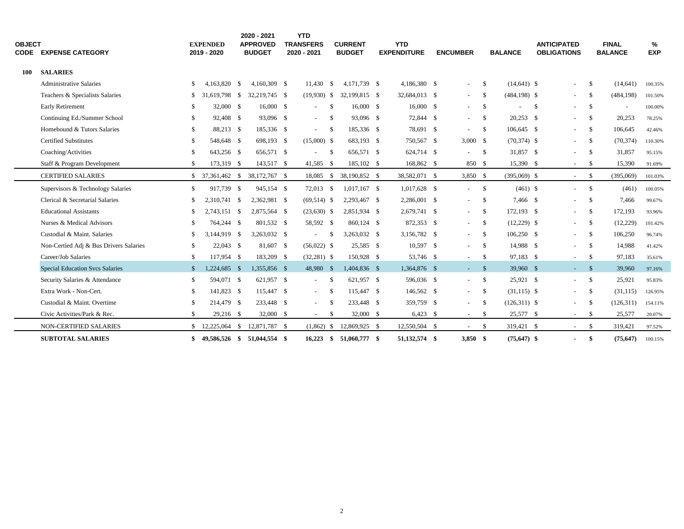| <b>OBJECT</b> | <b>CODE EXPENSE CATEGORY</b>           |              | <b>EXPENDED</b><br>2019 - 2020 |      | 2020 - 2021<br><b>APPROVED</b><br><b>BUDGET</b> | <b>YTD</b><br><b>TRANSFERS</b><br>2020 - 2021 |                    | <b>CURRENT</b><br><b>BUDGET</b> | <b>YTD</b><br><b>EXPENDITURE</b> | <b>ENCUMBER</b> |      | <b>BALANCE</b>  |     | <b>ANTICIPATED</b><br><b>OBLIGATIONS</b> |               | <b>FINAL</b><br><b>BALANCE</b> | %<br><b>EXP</b> |  |
|---------------|----------------------------------------|--------------|--------------------------------|------|-------------------------------------------------|-----------------------------------------------|--------------------|---------------------------------|----------------------------------|-----------------|------|-----------------|-----|------------------------------------------|---------------|--------------------------------|-----------------|--|
| 100           | <b>SALARIES</b>                        |              |                                |      |                                                 |                                               |                    |                                 |                                  |                 |      |                 |     |                                          |               |                                |                 |  |
|               | <b>Administrative Salaries</b>         | \$           | 4.163.820                      | - \$ | 4.160.309 \$                                    | 11.430                                        | $\mathbf{\hat{s}}$ | 4,171,739 \$                    | 4,186,380 \$                     | $\sim$          | \$   | $(14,641)$ \$   |     | $\sim$                                   | \$            | (14, 641)                      | 100.35%         |  |
|               | Teachers & Specialists Salaries        | \$           | 31.619.798 \$                  |      | 32,219,745 \$                                   | $(19,930)$ \$                                 |                    | 32,199,815 \$                   | 32,684,013 \$                    | $\sim$          | - \$ | $(484, 198)$ \$ |     | $\sim$                                   | -S            | (484, 198)                     | 101.50%         |  |
|               | Early Retirement                       | \$           | 32,000 \$                      |      | 16,000 S                                        |                                               | <sup>\$</sup>      | 16,000 \$                       | 16,000 \$                        | $\sim$          | \$   |                 | -\$ |                                          | - \$          | $\overline{\phantom{a}}$       | 100.00%         |  |
|               | Continuing Ed./Summer School           | \$           | 92.408 \$                      |      | 93.096 \$                                       | $\sim$                                        | $\mathbf{\hat{s}}$ | 93.096 \$                       | 72.844 \$                        | $\sim$          | -S   | $20.253$ \$     |     | $\sim$                                   | - \$          | 20,253                         | 78.25%          |  |
|               | Homebound & Tutors Salaries            | \$           | 88,213 \$                      |      | 185,336 \$                                      |                                               | - \$               | 185,336 \$                      | 78,691 \$                        | $\sim$          | -S   | 106,645 \$      |     | $\sim$                                   | -\$           | 106,645                        | 42.46%          |  |
|               | <b>Certified Substitutes</b>           | \$           | 548,648 \$                     |      | 698,193 \$                                      | $(15,000)$ \$                                 |                    | 683,193 \$                      | 750,567 \$                       | $3,000$ \$      |      | $(70, 374)$ \$  |     | $\sim$                                   | -S            | (70, 374)                      | 110.30%         |  |
|               | Coaching/Activities                    | \$           | 643,256 \$                     |      | 656,571 \$                                      |                                               | $\mathbf{\hat{s}}$ | 656,571 \$                      | 624,714 \$                       |                 | - \$ | 31,857 \$       |     |                                          | - \$          | 31,857                         | 95.15%          |  |
|               | Staff & Program Development            | \$           | 173,319 \$                     |      | 143,517 \$                                      | 41,585                                        | -S                 | 185,102 \$                      | 168,862 \$                       | 850 \$          |      | 15,390 \$       |     | $\sim$                                   | - \$          | 15,390                         | 91.69%          |  |
|               | <b>CERTIFIED SALARIES</b>              |              | $$37,361,462$ \$               |      | 38,172,767 \$                                   | 18,085                                        | <sup>S</sup>       | 38,190,852 \$                   | 38,582,071 \$                    | $3,850$ \$      |      | $(395,069)$ \$  |     | $\sim$                                   | - \$          | (395,069)                      | 101.03%         |  |
|               | Supervisors & Technology Salaries      | \$           | 917,739 \$                     |      | 945,154 \$                                      | 72,013                                        | - \$               | $1,017,167$ \$                  | 1,017,628 \$                     | $\sim 10^{-1}$  | \$   | $(461)$ \$      |     | $\sim$                                   | - \$          | (461)                          | 100.05%         |  |
|               | Clerical & Secretarial Salaries        | \$           | 2,310,741                      | - \$ | 2,362,981 \$                                    | $(69,514)$ \$                                 |                    | 2,293,467 \$                    | 2,286,001 \$                     | $\sim$          | - \$ | 7.466 \$        |     |                                          | -\$           | 7,466                          | 99.67%          |  |
|               | <b>Educational Assistants</b>          | \$.          | 2.743.151 \$                   |      | 2,875,564 \$                                    | $(23,630)$ \$                                 |                    | 2,851,934 \$                    | 2,679,741 \$                     | $\sim$          | -S   | 172,193 \$      |     |                                          | -S            | 172,193                        | 93.96%          |  |
|               | Nurses & Medical Advisors              | \$           | 764,244 \$                     |      | 801,532 \$                                      | 58,592 \$                                     |                    | 860,124 \$                      | 872,353 \$                       | $\sim$          | \$   | $(12,229)$ \$   |     |                                          | <sup>\$</sup> | (12, 229)                      | 101.42%         |  |
|               | Custodial & Maint. Salaries            | \$.          | 3.144.919                      | - \$ | 3,263,032 \$                                    |                                               | -S                 | 3,263,032 \$                    | 3,156,782 \$                     | $\sim$          | -S   | $106,250$ \$    |     |                                          | <sup>\$</sup> | 106,250                        | 96.74%          |  |
|               | Non-Certied Adj & Bus Drivers Salaries | \$           | $22,043$ \$                    |      | 81,607 \$                                       | $(56,022)$ \$                                 |                    | 25,585 \$                       | 10,597 \$                        | $\sim$          | - \$ | 14,988 \$       |     | $\sim$                                   | - \$          | 14,988                         | 41.42%          |  |
|               | Career/Job Salaries                    | \$           | 117,954 \$                     |      | 183,209 \$                                      | $(32,281)$ \$                                 |                    | 150,928 \$                      | 53,746 \$                        | $\sim$          | -\$  | 97,183 \$       |     | $\sim$                                   | \$            | 97,183                         | 35.61%          |  |
|               | <b>Special Education Svcs Salaries</b> | $\mathbb{S}$ | 1,224,685 \$                   |      | 1,355,856 \$                                    | 48,980 \$                                     |                    | 1,404,836 \$                    | 1,364,876 \$                     | $-5$            |      | 39,960 \$       |     | $\sim$                                   | $^{\circ}$ \$ | 39,960                         | 97.16%          |  |
|               | Security Salaries & Attendance         | \$           | 594,071 \$                     |      | 621,957 \$                                      | $\sim$                                        | <sup>\$</sup>      | 621,957 \$                      | 596,036 \$                       | $\sim$ 10 $\pm$ | \$   | 25,921 \$       |     | $\sim$                                   | <sup>\$</sup> | 25,921                         | 95.83%          |  |
|               | Extra Work - Non-Cert.                 | \$           | 141,823 \$                     |      | 115,447 \$                                      | $\sim$                                        | -\$                | 115,447 \$                      | 146,562 \$                       | $\sim$          | \$   | $(31,115)$ \$   |     | $\sim$                                   | $\mathbb{S}$  | (31, 115)                      | 126.95%         |  |
|               | Custodial & Maint. Overtime            | \$           | 214,479 \$                     |      | 233,448 \$                                      |                                               | <sup>\$</sup>      | 233,448 \$                      | 359,759 \$                       | $\sim$          | \$   | $(126,311)$ \$  |     |                                          | \$            | (126,311)                      | 154.11%         |  |
|               | Civic Activities/Park & Rec.           | \$           | 29,216 \$                      |      | 32,000 \$                                       | $\sim$                                        | <sup>\$</sup>      | 32,000 \$                       | $6,423$ \$                       | $\sim$          | \$   | 25,577 \$       |     | $\sim$                                   | - \$          | 25,577                         | 20.07%          |  |
|               | NON-CERTIFIED SALARIES                 |              | $$12,225,064$ \$               |      | 12,871,787 \$                                   | (1,862)                                       | <sup>\$</sup>      | 12,869,925 \$                   | 12,550,504 \$                    | $\sim$          | \$   | 319,421 \$      |     | $\sim$                                   | - \$          | 319,421                        | 97.52%          |  |
|               | <b>SUBTOTAL SALARIES</b>               | \$           | 49,586,526 \$                  |      | 51,044,554 \$                                   | 16,223                                        |                    | $$51.060.777$ \$                | 51,132,574 \$                    | 3.850S          |      | $(75.647)$ \$   |     |                                          | -\$           | (75, 647)                      | 100.15%         |  |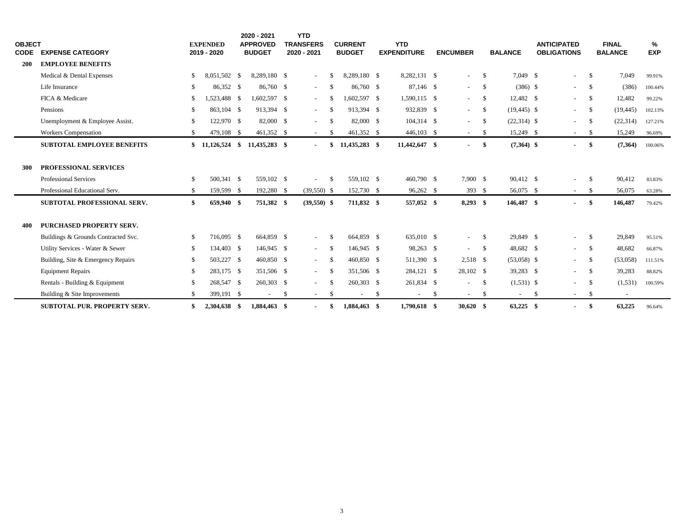| <b>OBJECT</b> |                                     |               | <b>EXPENDED</b>  | 2020 - 2021<br><b>APPROVED</b> | <b>YTD</b><br><b>TRANSFERS</b> |      | <b>CURRENT</b> |     | <b>YTD</b>         |     |                          |               |                | <b>ANTICIPATED</b>       |              | <b>FINAL</b>             | %          |
|---------------|-------------------------------------|---------------|------------------|--------------------------------|--------------------------------|------|----------------|-----|--------------------|-----|--------------------------|---------------|----------------|--------------------------|--------------|--------------------------|------------|
| <b>CODE</b>   | <b>EXPENSE CATEGORY</b>             |               | 2019 - 2020      | <b>BUDGET</b>                  | 2020 - 2021                    |      | <b>BUDGET</b>  |     | <b>EXPENDITURE</b> |     | <b>ENCUMBER</b>          |               | <b>BALANCE</b> | <b>OBLIGATIONS</b>       |              | <b>BALANCE</b>           | <b>EXP</b> |
| <b>200</b>    | <b>EMPLOYEE BENEFITS</b>            |               |                  |                                |                                |      |                |     |                    |     |                          |               |                |                          |              |                          |            |
|               | Medical & Dental Expenses           | -S            | 8.051.502 \$     | 8.289.180 \$                   | $\overline{\phantom{a}}$       | - \$ | 8.289.180 \$   |     | 8.282.131 \$       |     | $\sim$                   | $\mathcal{S}$ | 7.049 \$       | $\overline{\phantom{a}}$ | $\mathbb{S}$ | 7.049                    | 99.91%     |
|               | Life Insurance                      | -S            | 86,352 \$        | 86,760 \$                      | $\sim$                         | - \$ | 86,760 \$      |     | 87,146 \$          |     | $\sim$                   | \$            | $(386)$ \$     | $\overline{\phantom{a}}$ | \$           | (386)                    | 100.44%    |
|               | FICA & Medicare                     | <sup>\$</sup> | 1,523,488 \$     | $1,602,597$ \$                 | $\overline{\phantom{a}}$       | -S   | 1.602.597 \$   |     | 1.590.115 \$       |     | $\sim$                   | \$            | 12,482 \$      | $\overline{\phantom{a}}$ | \$           | 12,482                   | 99.22%     |
|               | Pensions                            | -S            | 863,104 \$       | 913,394 \$                     | $\sim$                         | - \$ | 913.394 \$     |     | 932,839 \$         |     | $\sim$                   | \$            | $(19, 445)$ \$ | $\blacksquare$           | \$           | (19, 445)                | 102.13%    |
|               | Unemployment & Employee Assist.     | -\$           | 122,970 \$       | 82,000 \$                      | $\overline{a}$                 | - \$ | 82,000 \$      |     | 104,314 \$         |     | $\sim$                   | -S            | $(22,314)$ \$  |                          | S.           | (22, 314)                | 127.21%    |
|               | <b>Workers Compensation</b>         | -\$           | 479,108 \$       | 461,352 \$                     | $\sim$                         | -S   | 461,352 \$     |     | 446,103 \$         |     | $\sim$                   | \$            | 15,249 \$      | $\overline{\phantom{a}}$ | $\mathbb{S}$ | 15,249                   | 96.69%     |
|               | <b>SUBTOTAL EMPLOYEE BENEFITS</b>   |               | $$11,126,524$ \$ | 11,435,283 \$                  | $\blacksquare$                 | -\$  | 11,435,283 \$  |     | 11,442,647 \$      |     |                          | \$            | $(7,364)$ \$   |                          | \$           | (7,364)                  | 100.06%    |
|               |                                     |               |                  |                                |                                |      |                |     |                    |     |                          |               |                |                          |              |                          |            |
| 300           | PROFESSIONAL SERVICES               |               |                  |                                |                                |      |                |     |                    |     |                          |               |                |                          |              |                          |            |
|               | <b>Professional Services</b>        | -\$           | 500.341 \$       | 559,102 \$                     |                                | -S   | 559,102 \$     |     | 460,790 \$         |     | 7,900 \$                 |               | 90,412 \$      |                          | <sup>S</sup> | 90.412                   | 83.83%     |
|               | Professional Educational Serv.      | -\$           | 159,599 \$       | 192,280 \$                     | $(39,550)$ \$                  |      | 152,730 \$     |     | 96,262 \$          |     | 393 $$$                  |               | 56,075 \$      | $\sim$                   | - \$         | 56,075                   | 63.28%     |
|               | SUBTOTAL PROFESSIONAL SERV.         | \$            | 659,940 \$       | 751,382 \$                     | $(39,550)$ \$                  |      | 711,832 \$     |     | 557,052 \$         |     | $8,293$ \$               |               | 146,487 \$     | ۰                        | \$           | 146,487                  | 79.42%     |
|               |                                     |               |                  |                                |                                |      |                |     |                    |     |                          |               |                |                          |              |                          |            |
| 400           | <b>PURCHASED PROPERTY SERV.</b>     |               |                  |                                |                                |      |                |     |                    |     |                          |               |                |                          |              |                          |            |
|               | Buildings & Grounds Contracted Svc. | -\$           | 716,095 \$       | 664,859 \$                     | $\sim$                         | - \$ | 664,859 \$     |     | 635,010 \$         |     | $\sim$                   | \$            | 29,849 \$      | $\overline{\phantom{a}}$ | \$           | 29,849                   | 95.51%     |
|               | Utility Services - Water & Sewer    | -\$           | 134,403 \$       | 146,945 \$                     | $\sim$                         | -\$  | 146.945 \$     |     | 98,263 \$          |     | $\sim$                   | <sup>S</sup>  | 48,682 \$      | $\overline{\phantom{a}}$ | \$           | 48,682                   | 66.87%     |
|               | Building, Site & Emergency Repairs  | -\$           | 503,227 \$       | 460,850 \$                     | $\sim$                         | -\$  | 460,850 \$     |     | 511,390 \$         |     | $2,518$ \$               |               | $(53,058)$ \$  | $\overline{\phantom{a}}$ | - \$         | (53,058)                 | 111.51%    |
|               | <b>Equipment Repairs</b>            | -\$           | 283,175 \$       | 351,506 \$                     | $\sim$                         | - \$ | 351,506 \$     |     | 284,121 \$         |     | 28,102 \$                |               | 39,283 \$      | $\overline{\phantom{a}}$ | - \$         | 39,283                   | 88.82%     |
|               | Rentals - Building & Equipment      | S.            | 268,547 \$       | 260,303 \$                     | $\frac{1}{2}$                  | - \$ | 260,303 \$     |     | 261,834 \$         |     | $\overline{\phantom{a}}$ | \$            | $(1,531)$ \$   | $\overline{\phantom{a}}$ | S.           | (1,531)                  | 100.59%    |
|               | Building & Site Improvements        | -\$           | 399,191 \$       | $\sim$                         | \$<br>$\sim$                   | - \$ | $\sim$         | -\$ | $\sim$             | -\$ | $\sim$                   | \$            | $\sim$         | \$<br>$\sim$             | \$           | $\overline{\phantom{0}}$ |            |
|               | <b>SUBTOTAL PUR. PROPERTY SERV.</b> | \$            | 2,304,638 \$     | 1,884,463 \$                   | $\blacksquare$                 | - \$ | 1,884,463 \$   |     | 1,790,618 \$       |     | $30,620$ \$              |               | $63,225$ \$    |                          | -\$          | 63,225                   | 96.64%     |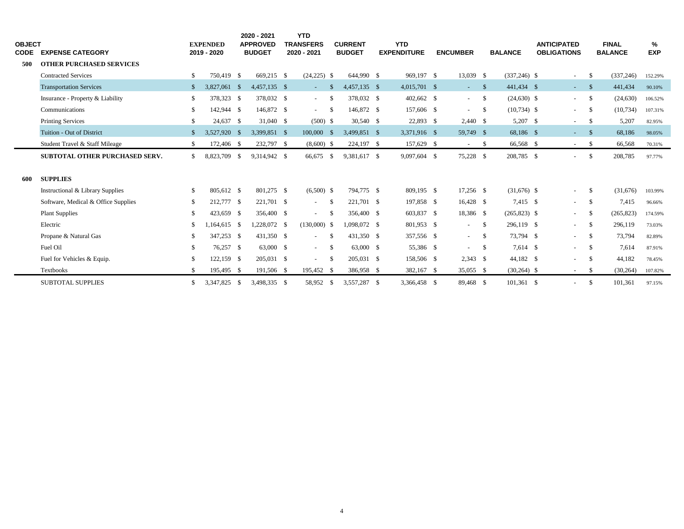| <b>OBJECT</b><br>CODE | <b>EXPENSE CATEGORY</b>               |               | <b>EXPENDED</b><br>2019 - 2020 |      | 2020 - 2021<br><b>APPROVED</b><br><b>BUDGET</b> | <b>YTD</b><br><b>TRANSFERS</b><br>2020 - 2021 |          | <b>CURRENT</b><br><b>BUDGET</b> | <b>YTD</b><br><b>EXPENDITURE</b> | <b>ENCUMBER</b> |      | <b>BALANCE</b>  | <b>ANTICIPATED</b><br><b>OBLIGATIONS</b> |               | <b>FINAL</b><br><b>BALANCE</b> | %<br><b>EXP</b> |  |
|-----------------------|---------------------------------------|---------------|--------------------------------|------|-------------------------------------------------|-----------------------------------------------|----------|---------------------------------|----------------------------------|-----------------|------|-----------------|------------------------------------------|---------------|--------------------------------|-----------------|--|
| 500                   | <b>OTHER PURCHASED SERVICES</b>       |               |                                |      |                                                 |                                               |          |                                 |                                  |                 |      |                 |                                          |               |                                |                 |  |
|                       | <b>Contracted Services</b>            | \$.           | 750.419 \$                     |      | 669.215 \$                                      | $(24,225)$ \$                                 |          | 644,990 \$                      | 969.197 \$                       | 13,039 \$       |      | $(337, 246)$ \$ | $\sim$                                   | \$            | (337, 246)                     | 152.29%         |  |
|                       | <b>Transportation Services</b>        | <sup>\$</sup> | 3,827,061                      | - \$ | 4,457,135 \$                                    | $\sim 10$                                     | -S       | 4,457,135 \$                    | 4,015,701 \$                     | $\sim$          | -\$  | 441,434 \$      | $\sim$                                   | - \$          | 441,434                        | 90.10%          |  |
|                       | Insurance - Property & Liability      | S.            | 378,323 \$                     |      | 378,032 \$                                      | $\sim 100$                                    | -S       | 378,032 \$                      | 402,662 \$                       | $\sim 10^{-1}$  | - \$ | $(24,630)$ \$   | $\sim$                                   | \$            | (24,630)                       | 106.52%         |  |
|                       | Communications                        | \$            | 142,944 \$                     |      | 146,872 \$                                      | $\omega_{\rm{max}}$                           | - \$     | 146,872 \$                      | 157,606 \$                       | $\sim$          | - \$ | $(10, 734)$ \$  | $\blacksquare$                           | \$            | (10, 734)                      | 107.31%         |  |
|                       | <b>Printing Services</b>              | \$            | 24,637 \$                      |      | 31,040 \$                                       | $(500)$ \$                                    |          | 30,540 \$                       | 22,893 \$                        | 2,440 \$        |      | 5,207 \$        | $\overline{\phantom{a}}$                 | S.            | 5,207                          | 82.95%          |  |
|                       | Tuition - Out of District             |               | 3,527,920                      | - \$ | 3,399,851 \$                                    | $100,000$ \$                                  |          | 3,499,851 \$                    | 3,371,916 \$                     | 59,749 \$       |      | 68,186 \$       | $\sim$                                   | - \$          | 68,186                         | 98.05%          |  |
|                       | Student Travel & Staff Mileage        | \$            | 172,406 \$                     |      | 232,797 \$                                      | $(8,600)$ \$                                  |          | 224,197 \$                      | 157,629 \$                       | $\sim$          | - \$ | 66,568 \$       | $\sim$                                   | \$            | 66,568                         | 70.31%          |  |
|                       | <b>SUBTOTAL OTHER PURCHASED SERV.</b> | S.            | 8,823,709                      | - \$ | 9,314,942 \$                                    | 66,675 \$                                     |          | 9,381,617 \$                    | 9.097.604 \$                     | 75,228 \$       |      | 208,785 \$      | $\overline{\phantom{a}}$                 | <sup>\$</sup> | 208,785                        | 97.77%          |  |
| 600                   | <b>SUPPLIES</b>                       |               |                                |      |                                                 |                                               |          |                                 |                                  |                 |      |                 |                                          |               |                                |                 |  |
|                       | Instructional & Library Supplies      | -S            | 805,612 \$                     |      | 801,275 \$                                      | $(6,500)$ \$                                  |          | 794,775 \$                      | 809.195 \$                       | 17,256 \$       |      | $(31,676)$ \$   | $\sim$                                   | \$            | (31,676)                       | 103.99%         |  |
|                       | Software, Medical & Office Supplies   | \$            | 212,777                        | - \$ | 221,701 \$                                      | $\sim$                                        | <b>S</b> | 221,701 \$                      | 197,858 \$                       | 16,428 \$       |      | 7,415 \$        | $\blacksquare$                           | \$            | 7,415                          | 96.66%          |  |
|                       | <b>Plant Supplies</b>                 | -S            | 423,659 \$                     |      | 356,400 \$                                      | $\sim$                                        | - \$     | 356,400 \$                      | 603,837 \$                       | 18,386 \$       |      | $(265,823)$ \$  | $\overline{\phantom{a}}$                 | \$            | (265, 823)                     | 174.59%         |  |
|                       | Electric                              | -S            | $1,164,615$ \$                 |      | 1,228,072 \$                                    | $(130,000)$ \$                                |          | $1,098,072$ \$                  | 801,953 \$                       | $\sim$          | - \$ | 296,119 \$      | $\sim$                                   | -S            | 296,119                        | 73.03%          |  |
|                       | Propane & Natural Gas                 | S.            | 347,253 \$                     |      | 431,350 \$                                      | $\sim$                                        | - \$     | 431,350 \$                      | 357,556 \$                       | $\sim$          | - \$ | 73,794 \$       | $\overline{\phantom{a}}$                 | \$            | 73,794                         | 82.89%          |  |
|                       | Fuel Oil                              | \$            | 76,257 \$                      |      | 63,000 \$                                       | $\sim$                                        | - \$     | 63,000 \$                       | 55,386 \$                        | $\sim$          | - \$ | 7.614 \$        | $\sim$                                   | - \$          | 7,614                          | 87.91%          |  |
|                       | Fuel for Vehicles & Equip.            | \$            | 122,159                        | - \$ | 205,031 \$                                      | $\sim$                                        | - \$     | 205,031 \$                      | 158,506 \$                       | 2,343 \$        |      | 44,182 \$       | $\sim$                                   | -S            | 44,182                         | 78.45%          |  |
|                       | <b>Textbooks</b>                      |               | 195,495 \$                     |      | 191,506 \$                                      | 195,452 \$                                    |          | 386,958 \$                      | 382,167 \$                       | 35,055 \$       |      | $(30, 264)$ \$  | $\overline{\phantom{a}}$                 | -S            | (30, 264)                      | 107.82%         |  |
|                       | <b>SUBTOTAL SUPPLIES</b>              | S.            | 3,347,825 \$                   |      | 3,498,335 \$                                    | 58,952 \$                                     |          | 3,557,287 \$                    | 3,366,458 \$                     | 89,468 \$       |      | $101,361$ \$    | $\overline{\phantom{a}}$                 | \$            | 101,361                        | 97.15%          |  |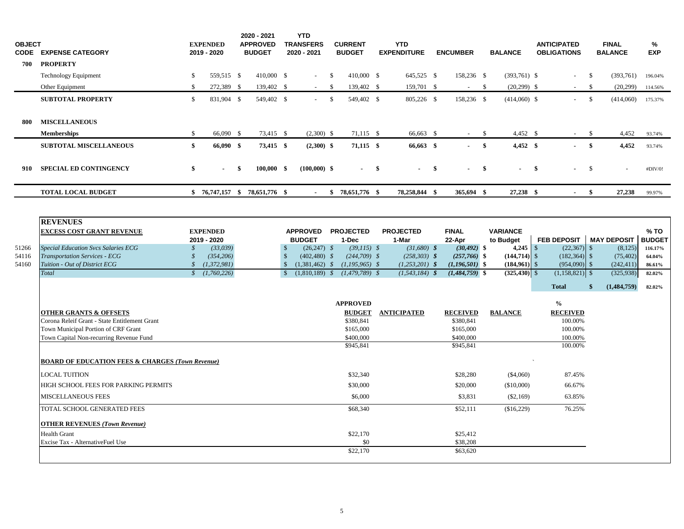| <b>OBJECT</b>           | <b>CODE EXPENSE CATEGORY</b>                                                                                                                                                                                                                                                                                                                                                                                        |                                                       | <b>EXPENDED</b><br>2019 - 2020                                                           | 2020 - 2021<br><b>APPROVED</b><br><b>BUDGET</b> |                                                                | <b>YTD</b><br><b>TRANSFERS</b><br>2020 - 2021                        |              | <b>CURRENT</b><br><b>BUDGET</b>                                                                                                                                                                                                | <b>YTD</b><br><b>EXPENDITURE</b>                                                                                              | <b>ENCUMBER</b>                                                                                                                                                           |              | <b>BALANCE</b>                                                                                         |     | <b>ANTICIPATED</b><br><b>OBLIGATIONS</b>                                                                                                                                            |              | <b>FINAL</b><br><b>BALANCE</b>                                                        | %<br><b>EXP</b>                                                          |
|-------------------------|---------------------------------------------------------------------------------------------------------------------------------------------------------------------------------------------------------------------------------------------------------------------------------------------------------------------------------------------------------------------------------------------------------------------|-------------------------------------------------------|------------------------------------------------------------------------------------------|-------------------------------------------------|----------------------------------------------------------------|----------------------------------------------------------------------|--------------|--------------------------------------------------------------------------------------------------------------------------------------------------------------------------------------------------------------------------------|-------------------------------------------------------------------------------------------------------------------------------|---------------------------------------------------------------------------------------------------------------------------------------------------------------------------|--------------|--------------------------------------------------------------------------------------------------------|-----|-------------------------------------------------------------------------------------------------------------------------------------------------------------------------------------|--------------|---------------------------------------------------------------------------------------|--------------------------------------------------------------------------|
| 700                     | <b>PROPERTY</b>                                                                                                                                                                                                                                                                                                                                                                                                     |                                                       |                                                                                          |                                                 |                                                                |                                                                      |              |                                                                                                                                                                                                                                |                                                                                                                               |                                                                                                                                                                           |              |                                                                                                        |     |                                                                                                                                                                                     |              |                                                                                       |                                                                          |
|                         | <b>Technology Equipment</b>                                                                                                                                                                                                                                                                                                                                                                                         | \$                                                    | 559,515 \$                                                                               | 410,000 \$                                      |                                                                | $\omega$                                                             | $\mathbb{S}$ | 410,000 \$                                                                                                                                                                                                                     | 645,525 \$                                                                                                                    | 158,236 \$                                                                                                                                                                |              | $(393,761)$ \$                                                                                         |     | $\sim$                                                                                                                                                                              | $\mathbb{S}$ | (393,761)                                                                             | 196.04%                                                                  |
|                         | Other Equipment                                                                                                                                                                                                                                                                                                                                                                                                     | $\mathbb{S}$                                          | 272,389 \$                                                                               | 139,402 \$                                      |                                                                | $\sim$                                                               | - \$         | 139,402 \$                                                                                                                                                                                                                     | 159,701 \$                                                                                                                    | $\sim$                                                                                                                                                                    | - \$         | $(20,299)$ \$                                                                                          |     | $\sim$                                                                                                                                                                              | - \$         | (20, 299)                                                                             | 114.56%                                                                  |
|                         | <b>SUBTOTAL PROPERTY</b>                                                                                                                                                                                                                                                                                                                                                                                            | \$                                                    | 831,904 \$                                                                               | 549,402 \$                                      |                                                                | $\mathcal{L}^{\pm}$                                                  | $\mathbb{S}$ | 549,402 \$                                                                                                                                                                                                                     | 805,226 \$                                                                                                                    | 158,236 \$                                                                                                                                                                |              | $(414,060)$ \$                                                                                         |     | $\omega_{\rm{eff}}$                                                                                                                                                                 | $\mathbb{S}$ | (414,060)                                                                             | 175.37%                                                                  |
| 800                     | <b>MISCELLANEOUS</b>                                                                                                                                                                                                                                                                                                                                                                                                |                                                       |                                                                                          |                                                 |                                                                |                                                                      |              |                                                                                                                                                                                                                                |                                                                                                                               |                                                                                                                                                                           |              |                                                                                                        |     |                                                                                                                                                                                     |              |                                                                                       |                                                                          |
|                         | <b>Memberships</b>                                                                                                                                                                                                                                                                                                                                                                                                  | \$                                                    | 66,090 \$                                                                                | 73,415 \$                                       |                                                                | $(2,300)$ \$                                                         |              | 71,115 \$                                                                                                                                                                                                                      | 66,663 \$                                                                                                                     | $\sim$                                                                                                                                                                    | \$           | $4,452$ \$                                                                                             |     |                                                                                                                                                                                     | -\$          | 4,452                                                                                 | 93.74%                                                                   |
|                         | <b>SUBTOTAL MISCELLANEOUS</b>                                                                                                                                                                                                                                                                                                                                                                                       | \$                                                    | 66,090 \$                                                                                | 73,415 \$                                       |                                                                | $(2,300)$ \$                                                         |              | 71,115 \$                                                                                                                                                                                                                      | 66,663 \$                                                                                                                     |                                                                                                                                                                           | $\mathbf{s}$ | $4,452$ \$                                                                                             |     |                                                                                                                                                                                     | $\mathbf{s}$ | 4,452                                                                                 | 93.74%                                                                   |
| 910                     | <b>SPECIAL ED CONTINGENCY</b>                                                                                                                                                                                                                                                                                                                                                                                       | \$                                                    |                                                                                          | \$<br>$100,000$ \$                              |                                                                | $(100,000)$ \$                                                       |              |                                                                                                                                                                                                                                | \$                                                                                                                            | \$                                                                                                                                                                        | \$           |                                                                                                        | -\$ |                                                                                                                                                                                     | -\$          |                                                                                       | #DIV/0!                                                                  |
|                         | <b>TOTAL LOCAL BUDGET</b>                                                                                                                                                                                                                                                                                                                                                                                           |                                                       |                                                                                          | $$76,747,157$ $$78,651,776$ \$                  |                                                                | $\sim$                                                               |              | $$78,651,776$ \$                                                                                                                                                                                                               | 78,258,844 \$                                                                                                                 | 365,694 \$                                                                                                                                                                |              | 27,238 \$                                                                                              |     |                                                                                                                                                                                     | \$           | 27,238                                                                                | 99.97%                                                                   |
| 51266<br>54116<br>54160 | <b>REVENUES</b><br><b>EXCESS COST GRANT REVENUE</b><br>Special Education Svcs Salaries ECG<br><b>Transportation Services - ECG</b><br>Tuition - Out of District ECG<br>Total<br><b>OTHER GRANTS &amp; OFFSETS</b><br>Corona Releif Grant - State Entitlement Grant<br>Town Municipal Portion of CRF Grant<br>Town Capital Non-recurring Revenue Fund<br><b>BOARD OF EDUCATION FEES &amp; CHARGES (Town Revenue)</b> | \$<br>$\mathcal{S}$<br>$\mathcal{S}$<br>$\mathcal{S}$ | <b>EXPENDED</b><br>2019 - 2020<br>(33,039)<br>(354, 206)<br>(1, 372, 981)<br>(1,760,226) |                                                 | $\mathcal{S}$<br>$\mathbb{S}$<br>$\mathbb{S}$<br>$\mathcal{S}$ | <b>APPROVED</b><br><b>BUDGET</b><br>$(26,247)$ \$<br>$(402, 480)$ \$ |              | <b>PROJECTED</b><br>1-Dec<br>$(39,115)$ \$<br>$(244,709)$ \$<br>$(1,381,462)$ \$ $(1,195,965)$ \$<br>$(1,810,189)$ \$ $(1,479,789)$ \$<br><b>APPROVED</b><br><b>BUDGET</b><br>\$380,841<br>\$165,000<br>\$400,000<br>\$945.841 | <b>PROJECTED</b><br>1-Mar<br>$(31,680)$ \$<br>$(258, 303)$ \$<br>$(1,253,201)$ \$<br>$(1, 543, 184)$ \$<br><b>ANTICIPATED</b> | <b>FINAL</b><br>22-Apr<br>$(30, 492)$ \$<br>$(257,766)$ \$<br>$(1,196,501)$ \$<br>$(1,484,759)$ \$<br><b>RECEIVED</b><br>\$380,841<br>\$165,000<br>\$400,000<br>\$945,841 |              | <b>VARIANCE</b><br>to Budget<br>$(144, 714)$ \$<br>$(184,961)$ \$<br>$(325, 430)$ \$<br><b>BALANCE</b> |     | <b>FEB DEPOSIT</b><br>$(22,367)$ \$<br>$(182, 364)$ \$<br>$(954,090)$ \$<br>$(1,158,821)$ \$<br><b>Total</b><br>$\%$<br><b>RECEIVED</b><br>100.00%<br>100.00%<br>100.00%<br>100.00% | \$           | <b>MAY DEPOSIT</b><br>(8,125)<br>(75, 402)<br>(242, 411)<br>(325, 938)<br>(1,484,759) | % TO<br><b>BUDGET</b><br>116.17%<br>64.04%<br>86.61%<br>82.02%<br>82.02% |
|                         | <b>LOCAL TUITION</b>                                                                                                                                                                                                                                                                                                                                                                                                |                                                       |                                                                                          |                                                 |                                                                |                                                                      |              | \$32,340                                                                                                                                                                                                                       |                                                                                                                               | \$28,280                                                                                                                                                                  |              | (\$4,060)                                                                                              |     | 87.45%                                                                                                                                                                              |              |                                                                                       |                                                                          |
|                         | HIGH SCHOOL FEES FOR PARKING PERMITS                                                                                                                                                                                                                                                                                                                                                                                |                                                       |                                                                                          |                                                 |                                                                |                                                                      |              | \$30,000                                                                                                                                                                                                                       |                                                                                                                               | \$20,000                                                                                                                                                                  |              | (\$10,000)                                                                                             |     | 66.67%                                                                                                                                                                              |              |                                                                                       |                                                                          |
|                         | MISCELLANEOUS FEES                                                                                                                                                                                                                                                                                                                                                                                                  |                                                       |                                                                                          |                                                 |                                                                |                                                                      |              | \$6,000                                                                                                                                                                                                                        |                                                                                                                               | \$3,831                                                                                                                                                                   |              | $(\$2,169)$                                                                                            |     | 63.85%                                                                                                                                                                              |              |                                                                                       |                                                                          |
|                         | TOTAL SCHOOL GENERATED FEES                                                                                                                                                                                                                                                                                                                                                                                         |                                                       |                                                                                          |                                                 |                                                                |                                                                      |              | \$68,340                                                                                                                                                                                                                       |                                                                                                                               | \$52,111                                                                                                                                                                  |              | (\$16,229)                                                                                             |     | 76.25%                                                                                                                                                                              |              |                                                                                       |                                                                          |
|                         | <b>OTHER REVENUES (Town Revenue)</b>                                                                                                                                                                                                                                                                                                                                                                                |                                                       |                                                                                          |                                                 |                                                                |                                                                      |              |                                                                                                                                                                                                                                |                                                                                                                               |                                                                                                                                                                           |              |                                                                                                        |     |                                                                                                                                                                                     |              |                                                                                       |                                                                          |
|                         | Health Grant                                                                                                                                                                                                                                                                                                                                                                                                        |                                                       |                                                                                          |                                                 |                                                                |                                                                      |              | \$22,170                                                                                                                                                                                                                       |                                                                                                                               | \$25,412                                                                                                                                                                  |              |                                                                                                        |     |                                                                                                                                                                                     |              |                                                                                       |                                                                          |
|                         | Excise Tax - AlternativeFuel Use                                                                                                                                                                                                                                                                                                                                                                                    |                                                       |                                                                                          |                                                 |                                                                |                                                                      |              | \$0                                                                                                                                                                                                                            |                                                                                                                               | \$38,208                                                                                                                                                                  |              |                                                                                                        |     |                                                                                                                                                                                     |              |                                                                                       |                                                                          |
|                         |                                                                                                                                                                                                                                                                                                                                                                                                                     |                                                       |                                                                                          |                                                 |                                                                |                                                                      |              | \$22,170                                                                                                                                                                                                                       |                                                                                                                               | \$63,620                                                                                                                                                                  |              |                                                                                                        |     |                                                                                                                                                                                     |              |                                                                                       |                                                                          |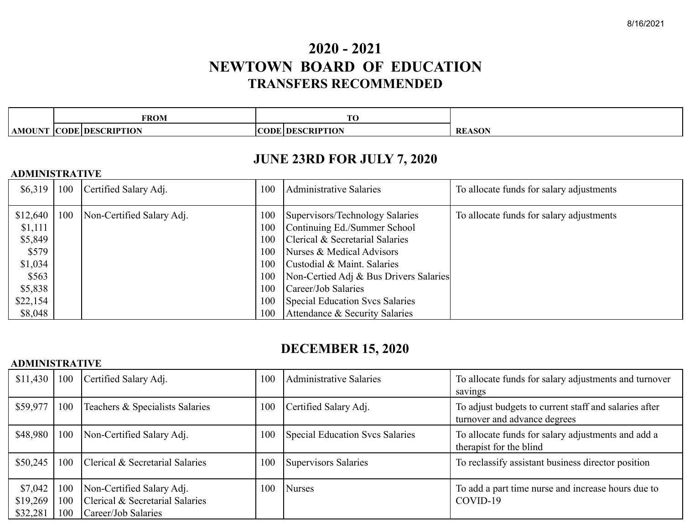# **2020 - 2021 NEWTOWN BOARD OF EDUCATION TRANSFERS RECOMMENDED**

|     | <b>FROM</b>                | $\sim$                       |                     |
|-----|----------------------------|------------------------------|---------------------|
| ١МΩ | CODE<br><b>DESCRIPTION</b> | <b>ERIPTION</b><br>ODI<br>Dŀ | $\sim$<br><b>RI</b> |

## **JUNE 23RD FOR JULY 7, 2020**

### **ADMINISTRATIVE**

| \$6,319                                                                            | 100 | Certified Salary Adj.     | 100                                                  | <b>Administrative Salaries</b>                                                                                                                                                                                                                                            | To allocate funds for salary adjustments |
|------------------------------------------------------------------------------------|-----|---------------------------|------------------------------------------------------|---------------------------------------------------------------------------------------------------------------------------------------------------------------------------------------------------------------------------------------------------------------------------|------------------------------------------|
| \$12,640<br>\$1,111<br>\$5,849<br>\$579<br>\$1,034<br>\$563<br>\$5,838<br>\$22,154 | 100 | Non-Certified Salary Adj. | 100<br>100<br>100<br>100<br>100<br>100<br>100<br>100 | Supervisors/Technology Salaries<br>Continuing Ed./Summer School<br>Clerical & Secretarial Salaries<br>Nurses & Medical Advisors<br>Custodial & Maint. Salaries<br>Non-Certied Adj & Bus Drivers Salaries<br>Career/Job Salaries<br><b>Special Education Svcs Salaries</b> | To allocate funds for salary adjustments |
| \$8,048                                                                            |     |                           | 100                                                  | Attendance & Security Salaries                                                                                                                                                                                                                                            |                                          |

## **DECEMBER 15, 2020**

## **ADMINISTRATIVE**

| \$11,430 | 100 | Certified Salary Adj.           | 100 | <b>Administrative Salaries</b>         | To allocate funds for salary adjustments and turnover<br>savings                      |
|----------|-----|---------------------------------|-----|----------------------------------------|---------------------------------------------------------------------------------------|
| \$59,977 | 100 | Teachers & Specialists Salaries | 100 | Certified Salary Adj.                  | To adjust budgets to current staff and salaries after<br>turnover and advance degrees |
| \$48,980 | 100 | Non-Certified Salary Adj.       | 100 | <b>Special Education Svcs Salaries</b> | To allocate funds for salary adjustments and add a<br>therapist for the blind         |
| \$50,245 | 100 | Clerical & Secretarial Salaries | 100 | <b>Supervisors Salaries</b>            | To reclassify assistant business director position                                    |
| \$7,042  | 100 | Non-Certified Salary Adj.       | 100 | <b>Nurses</b>                          | To add a part time nurse and increase hours due to                                    |
| \$19,269 | 100 | Clerical & Secretarial Salaries |     |                                        | COVID-19                                                                              |
| \$32,281 | 100 | Career/Job Salaries             |     |                                        |                                                                                       |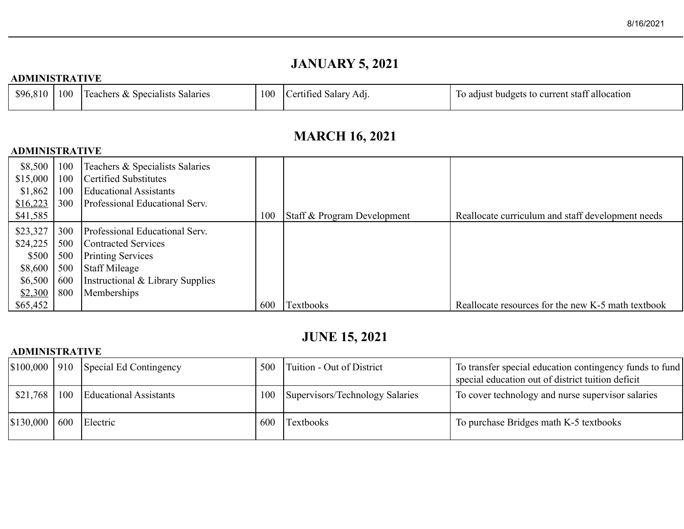# **JANUARY 5, 2021**

## **ADMINISTRATIVE**

| \$96,810 | 100 | Teachers & Specialists Salaries | 100 | Salary<br>Ad1.<br>ertified | To adjust budgets to current staff allocation |
|----------|-----|---------------------------------|-----|----------------------------|-----------------------------------------------|
|          |     |                                 |     |                            |                                               |

# **MARCH 16, 2021**

## **ADMINISTRATIVE**

| \$8,500  | 100 | Teachers & Specialists Salaries  |     |                             |                                                    |
|----------|-----|----------------------------------|-----|-----------------------------|----------------------------------------------------|
| \$15,000 | 100 | <b>Certified Substitutes</b>     |     |                             |                                                    |
| \$1,862  | 100 | <b>Educational Assistants</b>    |     |                             |                                                    |
| \$16,223 | 300 | Professional Educational Serv.   |     |                             |                                                    |
| \$41,585 |     |                                  | 100 | Staff & Program Development | Reallocate curriculum and staff development needs  |
| \$23,327 | 300 | Professional Educational Serv.   |     |                             |                                                    |
| \$24,225 | 500 | Contracted Services              |     |                             |                                                    |
| \$500    | 500 | <b>Printing Services</b>         |     |                             |                                                    |
| \$8,600  | 500 | <b>Staff Mileage</b>             |     |                             |                                                    |
| \$6,500  | 600 | Instructional & Library Supplies |     |                             |                                                    |
| \$2,300  | 800 | Memberships                      |     |                             |                                                    |
| \$65,452 |     |                                  | 600 | Textbooks                   | Reallocate resources for the new K-5 math textbook |

## **JUNE 15, 2021**

## **ADMINISTRATIVE**

|           |     | $\mid$ \$100,000   910   Special Ed Contingency | 500 | Tuition - Out of District       | To transfer special education contingency funds to fund<br>special education out of district tuition deficit |
|-----------|-----|-------------------------------------------------|-----|---------------------------------|--------------------------------------------------------------------------------------------------------------|
| \$21,768  | 100 | <b>Educational Assistants</b>                   | 100 | Supervisors/Technology Salaries | To cover technology and nurse supervisor salaries                                                            |
| \$130,000 | 600 | Electric                                        | 600 | Textbooks                       | To purchase Bridges math K-5 textbooks                                                                       |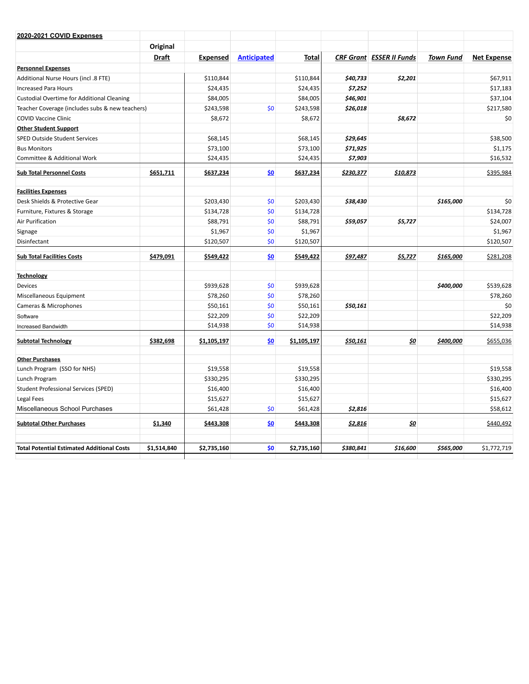| 2020-2021 COVID Expenses                          |              |                 |                    |             |           |                                 |                  |                    |
|---------------------------------------------------|--------------|-----------------|--------------------|-------------|-----------|---------------------------------|------------------|--------------------|
|                                                   | Original     |                 |                    |             |           |                                 |                  |                    |
|                                                   | <b>Draft</b> | <b>Expensed</b> | <b>Anticipated</b> | Total       |           | <b>CRF Grant ESSER II Funds</b> | <b>Town Fund</b> | <b>Net Expense</b> |
| <b>Personnel Expenses</b>                         |              |                 |                    |             |           |                                 |                  |                    |
| Additional Nurse Hours (incl .8 FTE)              |              | \$110,844       |                    | \$110,844   | \$40,733  | \$2,201                         |                  | \$67,911           |
| <b>Increased Para Hours</b>                       |              | \$24,435        |                    | \$24,435    | \$7,252   |                                 |                  | \$17,183           |
| <b>Custodial Overtime for Additional Cleaning</b> |              | \$84,005        |                    | \$84,005    | \$46,901  |                                 |                  | \$37,104           |
| Teacher Coverage (includes subs & new teachers)   |              | \$243,598       | \$0                | \$243,598   | \$26,018  |                                 |                  | \$217,580          |
| <b>COVID Vaccine Clinic</b>                       |              | \$8,672         |                    | \$8,672     |           | \$8,672                         |                  | \$0                |
| <b>Other Student Support</b>                      |              |                 |                    |             |           |                                 |                  |                    |
| <b>SPED Outside Student Services</b>              |              | \$68,145        |                    | \$68,145    | \$29,645  |                                 |                  | \$38,500           |
| <b>Bus Monitors</b>                               |              | \$73,100        |                    | \$73,100    | \$71,925  |                                 |                  | \$1,175            |
| Committee & Additional Work                       |              | \$24,435        |                    | \$24,435    | \$7,903   |                                 |                  | \$16,532           |
| <b>Sub Total Personnel Costs</b>                  | \$651,711    | \$637,234       | \$0                | \$637,234   | \$230,377 | \$10,873                        |                  | \$395,984          |
| <b>Facilities Expenses</b>                        |              |                 |                    |             |           |                                 |                  |                    |
| Desk Shields & Protective Gear                    |              | \$203,430       | \$0                | \$203,430   | \$38,430  |                                 | \$165,000        | \$0                |
| Furniture, Fixtures & Storage                     |              | \$134,728       | \$0                | \$134,728   |           |                                 |                  | \$134,728          |
| Air Purification                                  |              | \$88,791        | \$0                | \$88,791    | \$59,057  | \$5,727                         |                  | \$24,007           |
| Signage                                           |              | \$1,967         | \$0                | \$1,967     |           |                                 |                  | \$1,967            |
| Disinfectant                                      |              | \$120,507       | \$0                | \$120,507   |           |                                 |                  | \$120,507          |
| <b>Sub Total Facilities Costs</b>                 | \$479,091    | \$549,422       | \$0                | \$549,422   | \$97,487  | \$5,727                         | \$165,000        | \$281,208          |
| <b>Technology</b>                                 |              |                 |                    |             |           |                                 |                  |                    |
| Devices                                           |              | \$939,628       | \$0                | \$939,628   |           |                                 | \$400,000        | \$539,628          |
| Miscellaneous Equipment                           |              | \$78,260        | \$0                | \$78,260    |           |                                 |                  | \$78,260           |
| Cameras & Microphones                             |              | \$50,161        | \$0                | \$50,161    | \$50,161  |                                 |                  | \$0                |
| Software                                          |              | \$22,209        | \$0                | \$22,209    |           |                                 |                  | \$22,209           |
| Increased Bandwidth                               |              | \$14,938        | \$0                | \$14,938    |           |                                 |                  | \$14,938           |
| <b>Subtotal Technology</b>                        | \$382,698    | \$1,105,197     | \$0                | \$1,105,197 | \$50,161  | \$0                             | \$400,000        | \$655,036          |
| <b>Other Purchases</b>                            |              |                 |                    |             |           |                                 |                  |                    |
| Lunch Program (SSO for NHS)                       |              | \$19,558        |                    | \$19,558    |           |                                 |                  | \$19,558           |
| Lunch Program                                     |              | \$330,295       |                    | \$330,295   |           |                                 |                  | \$330,295          |
| <b>Student Professional Services (SPED)</b>       |              | \$16,400        |                    | \$16,400    |           |                                 |                  | \$16,400           |
| Legal Fees                                        |              | \$15,627        |                    | \$15,627    |           |                                 |                  | \$15,627           |
| Miscellaneous School Purchases                    |              | \$61,428        | \$0                | \$61,428    | \$2,816   |                                 |                  | \$58,612           |
| <b>Subtotal Other Purchases</b>                   | \$1,340      | \$443,308       | \$0                | \$443,308   | \$2,816   | \$0                             |                  | \$440,492          |
| <b>Total Potential Estimated Additional Costs</b> | \$1,514,840  | \$2,735,160     | \$0                | \$2,735,160 | \$380,841 | \$16,600                        | \$565,000        | \$1,772,719        |